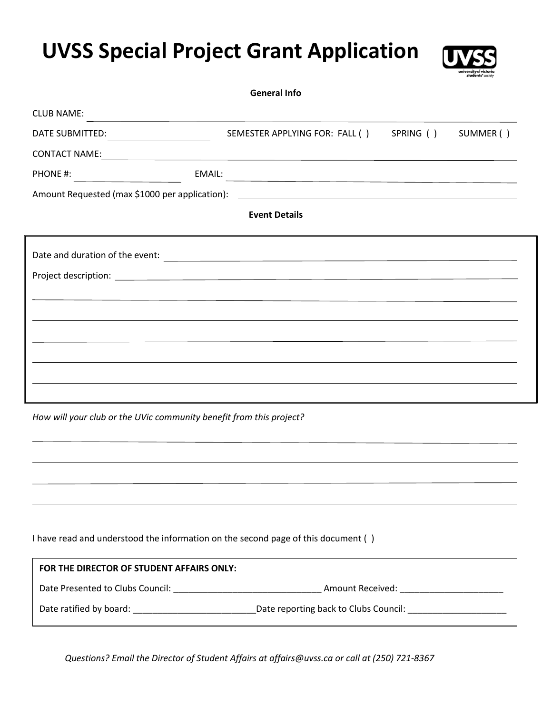## **UVSS Special Project Grant Application**



|                                                                                                                                                                                                                                | <b>General Info</b>                                                                                              |            |          |
|--------------------------------------------------------------------------------------------------------------------------------------------------------------------------------------------------------------------------------|------------------------------------------------------------------------------------------------------------------|------------|----------|
| <b>CLUB NAME:</b>                                                                                                                                                                                                              | and the control of the control of the control of the control of the control of the control of the control of the |            |          |
|                                                                                                                                                                                                                                | SEMESTER APPLYING FOR: FALL ()                                                                                   | SPRING ( ) | SUMMER() |
| CONTACT NAME: NAME: NAME AND A SERIES OF THE SERIES OF THE SERIES OF THE SERIES OF THE SERIES OF THE SERIES OF THE SERIES OF THE SERIES OF THE SERIES OF THE SERIES OF THE SERIES OF THE SERIES OF THE SERIES OF THE SERIES OF |                                                                                                                  |            |          |
| PHONE #:                                                                                                                                                                                                                       |                                                                                                                  |            |          |
|                                                                                                                                                                                                                                |                                                                                                                  |            |          |
|                                                                                                                                                                                                                                | <b>Event Details</b>                                                                                             |            |          |
|                                                                                                                                                                                                                                |                                                                                                                  |            |          |
|                                                                                                                                                                                                                                |                                                                                                                  |            |          |
|                                                                                                                                                                                                                                |                                                                                                                  |            |          |
|                                                                                                                                                                                                                                |                                                                                                                  |            |          |
|                                                                                                                                                                                                                                |                                                                                                                  |            |          |
|                                                                                                                                                                                                                                |                                                                                                                  |            |          |
| How will your club or the UVic community benefit from this project?                                                                                                                                                            |                                                                                                                  |            |          |
|                                                                                                                                                                                                                                |                                                                                                                  |            |          |
|                                                                                                                                                                                                                                |                                                                                                                  |            |          |
|                                                                                                                                                                                                                                |                                                                                                                  |            |          |
|                                                                                                                                                                                                                                |                                                                                                                  |            |          |
| I have read and understood the information on the second page of this document ()                                                                                                                                              |                                                                                                                  |            |          |
| FOR THE DIRECTOR OF STUDENT AFFAIRS ONLY:                                                                                                                                                                                      |                                                                                                                  |            |          |
|                                                                                                                                                                                                                                |                                                                                                                  |            |          |
|                                                                                                                                                                                                                                |                                                                                                                  |            |          |

*Questions? Email the Director of Student Affairs at affairs@uvss.ca or call at (250) 721-8367*